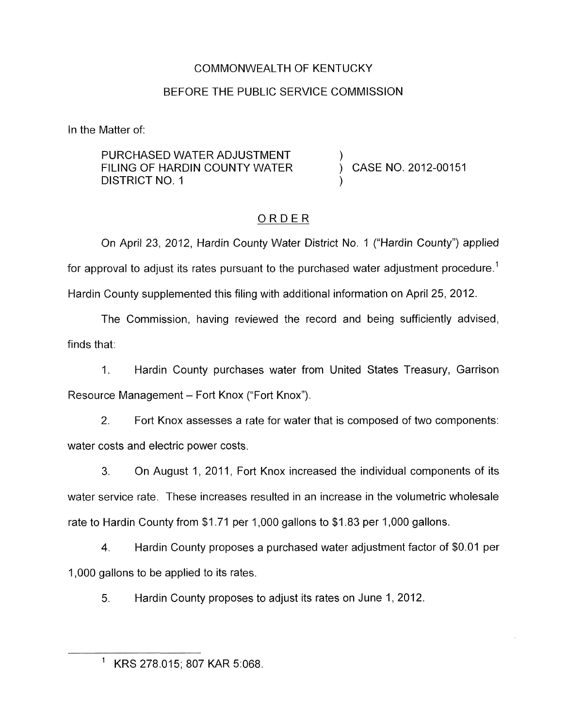### COMMONWEALTH OF KENTUCKY

### BEFORE THE PUBLIC SERVICE COMMISSION

In the Matter of:

PURCHASED WATER ADJUSTMENT FILING OF HARDIN COUNTY WATER  $\overrightarrow{)}$  CASE NO. 2012-00151 DISTRICT NO. 1

## ORDER

On April 23, 2012, Hardin County Water District No. 1 ("Hardin County") applied for approval to adjust its rates pursuant to the purchased water adjustment procedure.' Hardin County supplemented this filing with additional information on April 25, 2012.

The Commission, having reviewed the record and being sufficiently advised, finds that:

1. Hardin County purchases water from United States Treasury, Garrison Resource Management - Fort Knox ("Fort Knox").

2. Fort Knox assesses a rate for water that is composed of two components: water costs and electric power costs.

3. On August 1, 2011, Fort Knox increased the individual components of its water service rate. These increases resulted in an increase in the volumetric wholesale rate to Hardin County from \$1.71 per 1,000 gallons to \$1.83 per 1,000 gallons.

**4.** Hardin County proposes a purchased water adjustment factor of \$0.01 per 1,000 gallons to be applied to its rates.

5. Hardin County proposes to adjust its rates on June 1, 2012.

KRS 278.015; 807 KAR 5:068.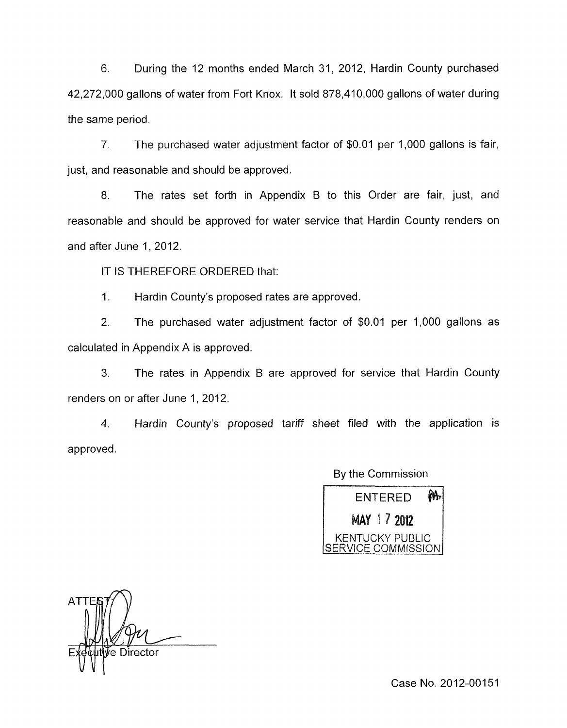6. During the 12 months ended March 31, 2012, Hardin County purchased 42,272,000 gallons of water from Fort Knox. It sold 878,410,000 gallons of water during the same period.

7. The purchased water adjustment factor of \$0.01 per 1,000 gallons is fair, just, and reasonable and should be approved.

8. The rates set forth in Appendix B to this Order are fair, just, and reasonable and should be approved for water service that Hardin County renders on and after June 1, 2012.

IT IS THEREFORE ORDERED that:

1. Hardin County's proposed rates are approved.

2. The purchased water adjustment factor of \$0.01 per 1,000 gallons as calculated in Appendix A is approved.

**3.** The rates in Appendix B are approved for service that Hardin County renders on or after June 1, 2012.

**4.** Hardin County's proposed tariff sheet filed with the application is approved.

By the Commission

Ѩ **ENTERED** MAY 17 2012 KENTUCKY PUBLIC<br>ERVICE COMMISSION

**ATTI** Director

Case No. 2012-00151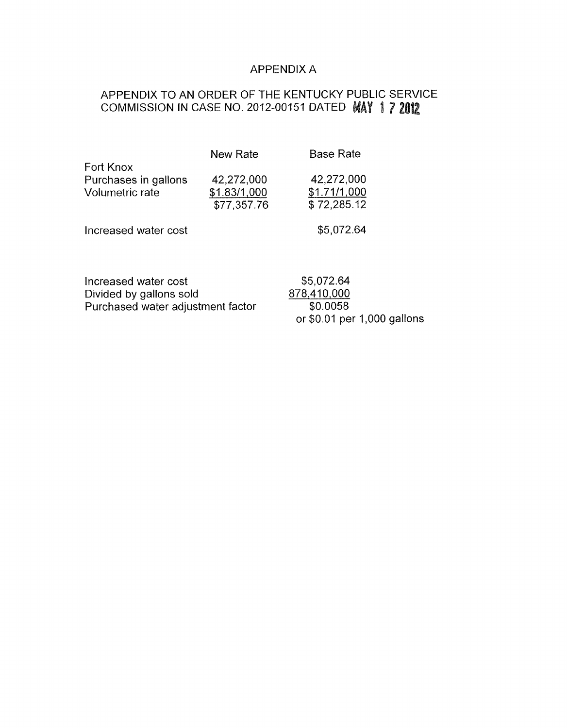#### APPENDIX A

# APPENDIX TO AN ORDER OF THE KENTUCKY PUBLIC SERVICE COMMISSION IN CASE NO. 2012-00151 DATED **MAY 1 7 2012**

|                                                             | New Rate                                  | <b>Base Rate</b>                          |
|-------------------------------------------------------------|-------------------------------------------|-------------------------------------------|
| Fort Knox<br>Purchases in gallons<br><b>Volumetric rate</b> | 42,272,000<br>\$1.83/1,000<br>\$77,357.76 | 42,272,000<br>\$1.71/1,000<br>\$72,285.12 |
| Increased water cost                                        |                                           | \$5,072.64                                |
| Increased water cost<br>Divided by gallons sold             |                                           | \$5,072.64<br>878,410,000                 |

Purchased water adjustment factar 878,410,000 \$0.0058 or \$0.01 per 1,000 gallons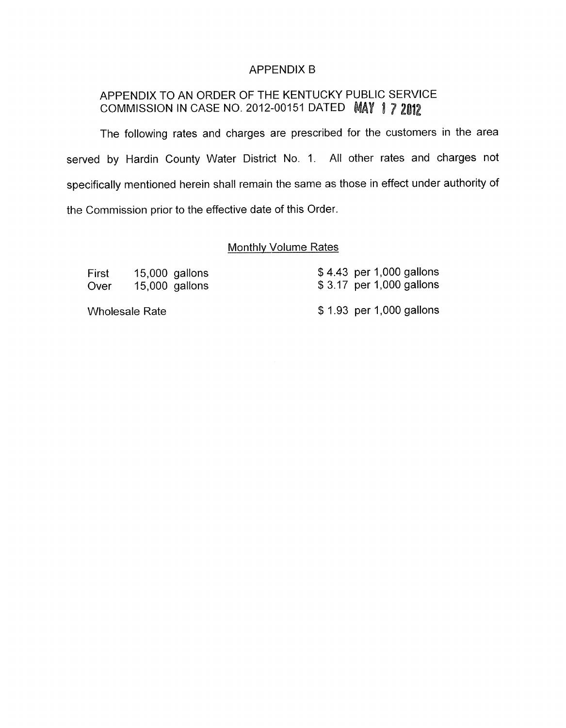#### APPENDIX B

# APPENDIX TO AN ORDER OF THE KENTUCKY PUBLIC SERVICE COMMISSION IN CASE NO. 2012-00151 DATED MAY 17 2012

The following rates and charges are prescribed for the customers in the area served by Hardin County Water District No. 1. All other rates and charges not specifically mentioned herein shall remain the same as those in effect under authority of the Commission prior to the effective date of this Order.

#### Monthlv Volume Rates

| First | $15,000$ gallons | $$4.43$ per 1,000 gallons |
|-------|------------------|---------------------------|
| Over  | $15,000$ gallons | \$3.17 per 1,000 gallons  |
|       | Wholesale Rate   | \$1.93 per 1,000 gallons  |